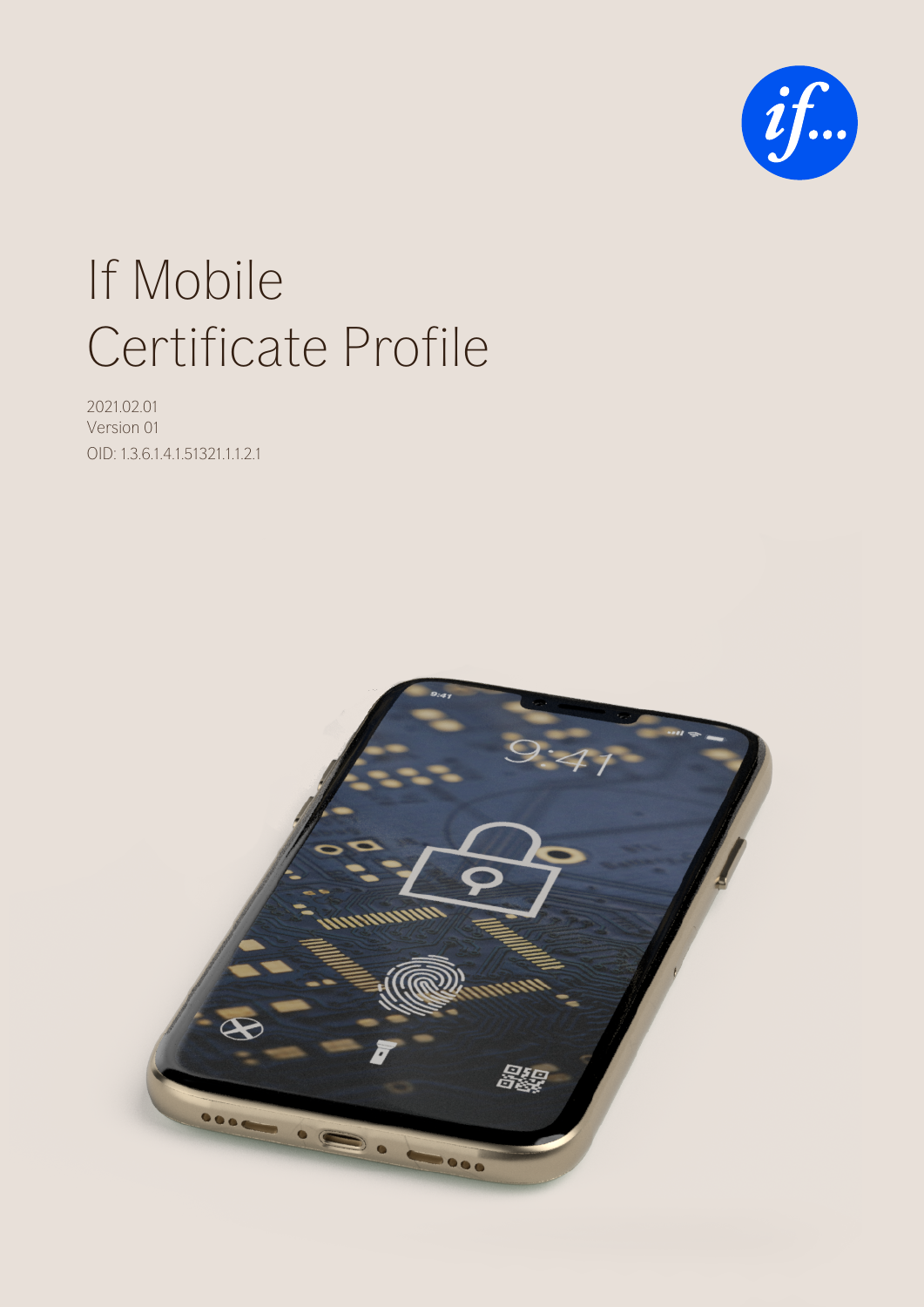

# If Mobile Certificate Profile

2021.02.01 Version 01 OID: 1.3.6.1.4.1.51321.1.1.2.1

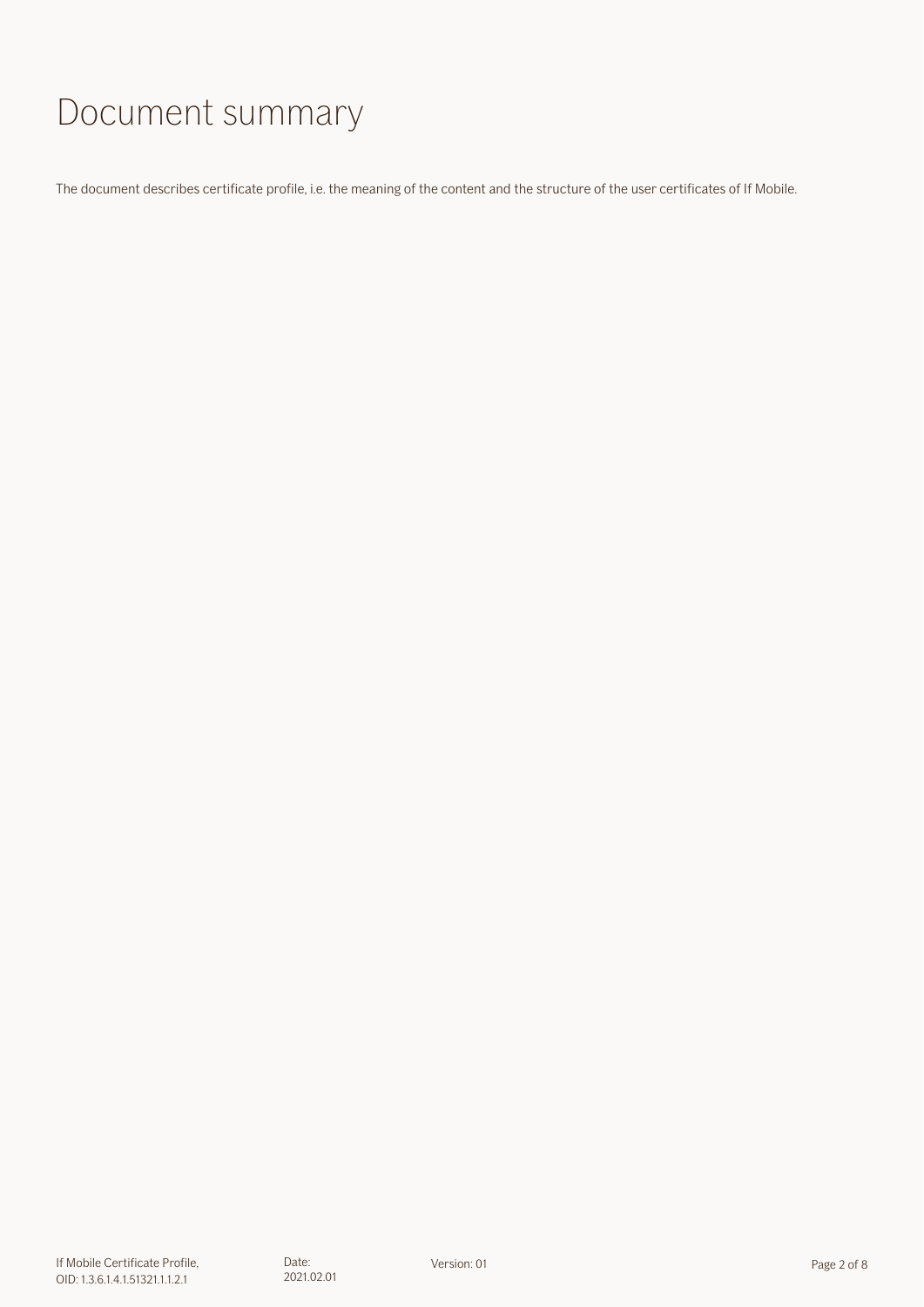# Document summary

The document describes certificate profile, i.e. the meaning of the content and the structure of the user certificates of If Mobile.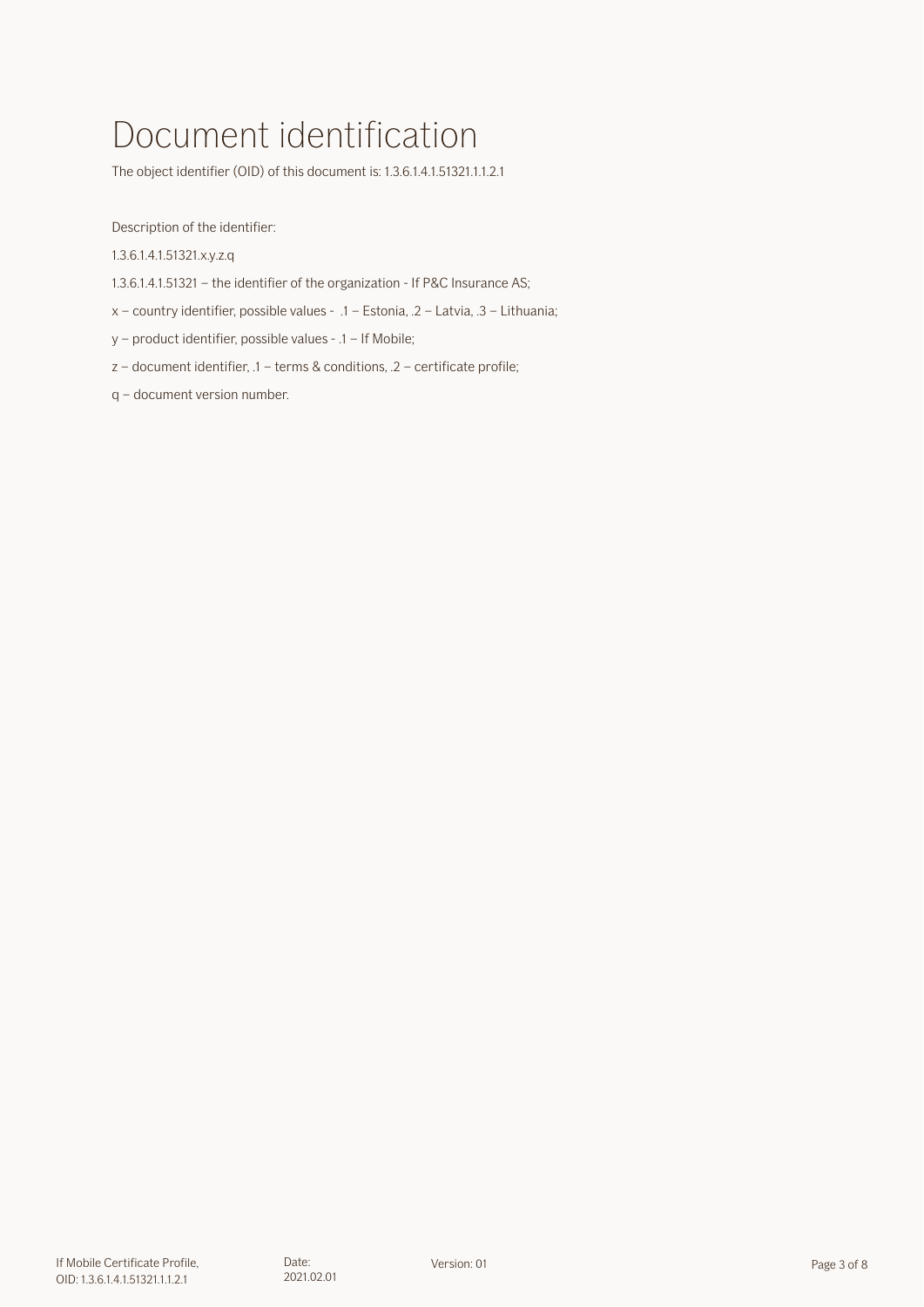# Document identification

The object identifier (OID) of this document is: 1.3.6.1.4.1.51321.1.1.2.1

Description of the identifier:

1.3.6.1.4.1.51321.x.y.z.q

1.3.6.1.4.1.51321 – the identifier of the organization - If P&C Insurance AS;

x – country identifier, possible values - .1 – Estonia, .2 – Latvia, .3 – Lithuania;

y – product identifier, possible values - .1 – If Mobile;

z – document identifier, .1 – terms & conditions, .2 – certificate profile;

q – document version number.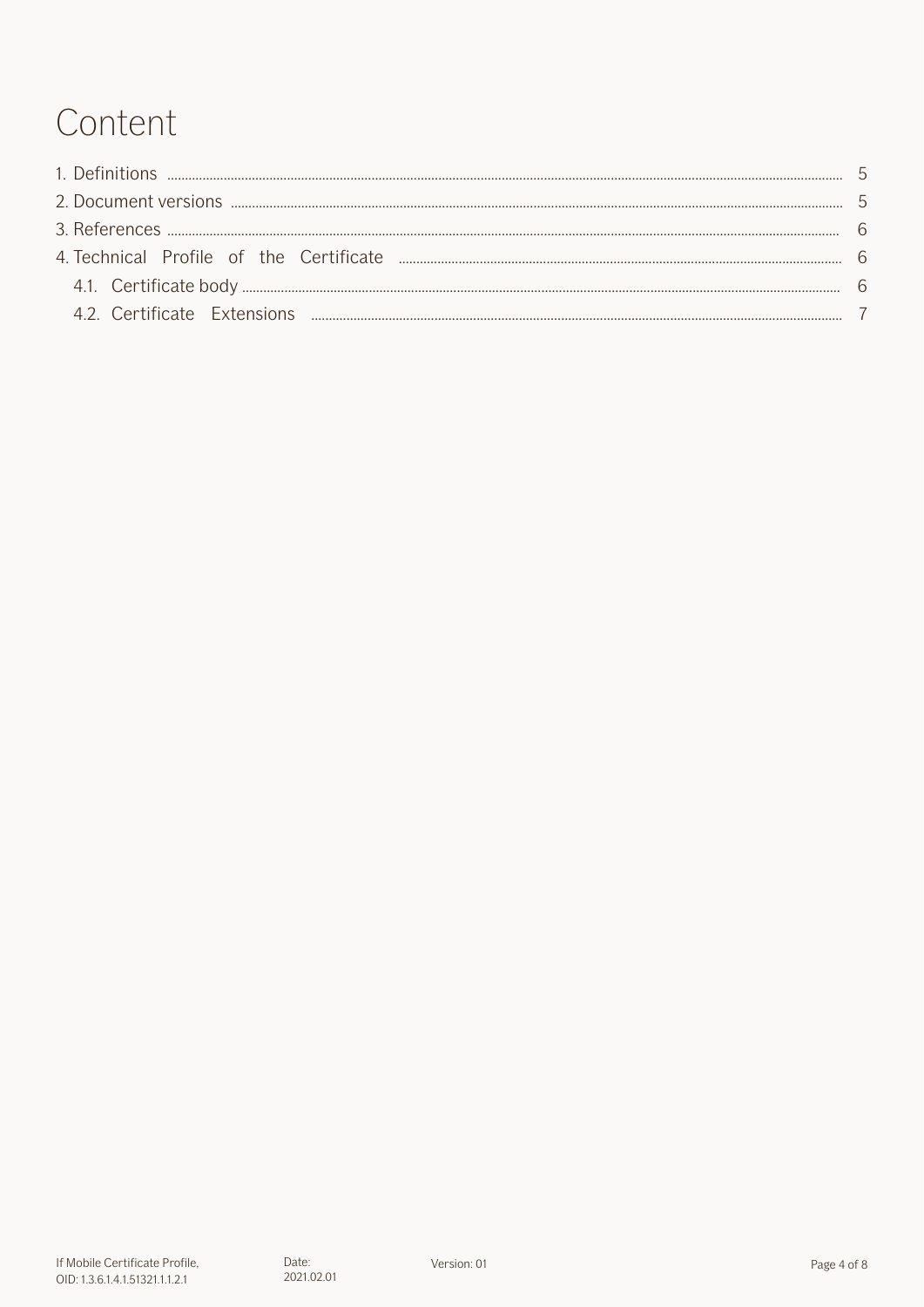# Content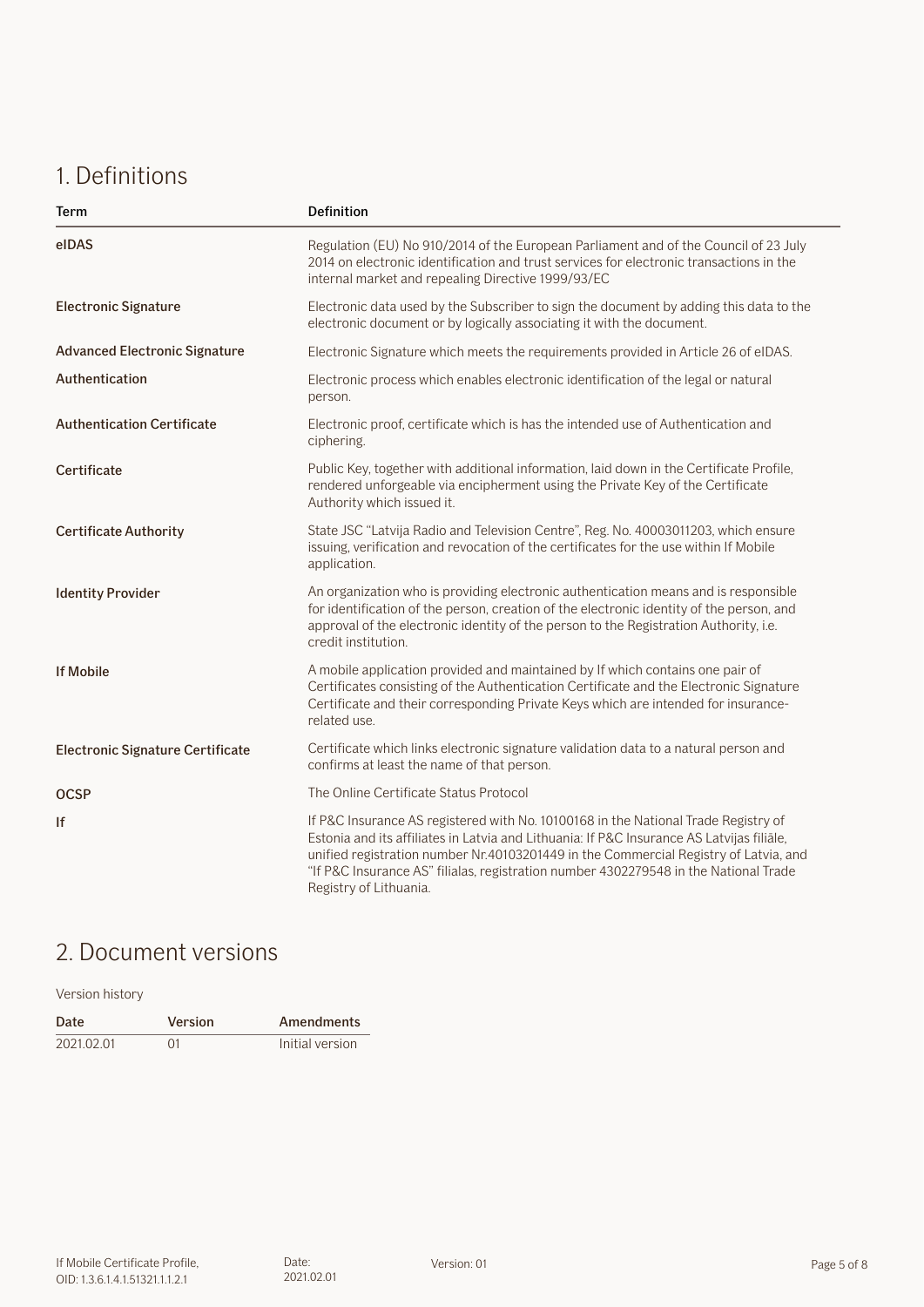## <span id="page-4-0"></span>1. Definitions

| Term                                    | <b>Definition</b>                                                                                                                                                                                                                                                                                                                                                                         |  |
|-----------------------------------------|-------------------------------------------------------------------------------------------------------------------------------------------------------------------------------------------------------------------------------------------------------------------------------------------------------------------------------------------------------------------------------------------|--|
| elDAS                                   | Regulation (EU) No 910/2014 of the European Parliament and of the Council of 23 July<br>2014 on electronic identification and trust services for electronic transactions in the<br>internal market and repealing Directive 1999/93/EC                                                                                                                                                     |  |
| <b>Electronic Signature</b>             | Electronic data used by the Subscriber to sign the document by adding this data to the<br>electronic document or by logically associating it with the document.                                                                                                                                                                                                                           |  |
| <b>Advanced Electronic Signature</b>    | Electronic Signature which meets the requirements provided in Article 26 of eIDAS.                                                                                                                                                                                                                                                                                                        |  |
| Authentication                          | Electronic process which enables electronic identification of the legal or natural<br>person.                                                                                                                                                                                                                                                                                             |  |
| <b>Authentication Certificate</b>       | Electronic proof, certificate which is has the intended use of Authentication and<br>ciphering.                                                                                                                                                                                                                                                                                           |  |
| Certificate                             | Public Key, together with additional information, laid down in the Certificate Profile,<br>rendered unforgeable via encipherment using the Private Key of the Certificate<br>Authority which issued it.                                                                                                                                                                                   |  |
| <b>Certificate Authority</b>            | State JSC "Latvija Radio and Television Centre", Reg. No. 40003011203, which ensure<br>issuing, verification and revocation of the certificates for the use within If Mobile<br>application.                                                                                                                                                                                              |  |
| <b>Identity Provider</b>                | An organization who is providing electronic authentication means and is responsible<br>for identification of the person, creation of the electronic identity of the person, and<br>approval of the electronic identity of the person to the Registration Authority, i.e.<br>credit institution.                                                                                           |  |
| <b>If Mobile</b>                        | A mobile application provided and maintained by If which contains one pair of<br>Certificates consisting of the Authentication Certificate and the Electronic Signature<br>Certificate and their corresponding Private Keys which are intended for insurance-<br>related use.                                                                                                             |  |
| <b>Electronic Signature Certificate</b> | Certificate which links electronic signature validation data to a natural person and<br>confirms at least the name of that person.                                                                                                                                                                                                                                                        |  |
| <b>OCSP</b>                             | The Online Certificate Status Protocol                                                                                                                                                                                                                                                                                                                                                    |  |
| lf                                      | If P&C Insurance AS registered with No. 10100168 in the National Trade Registry of<br>Estonia and its affiliates in Latvia and Lithuania: If P&C Insurance AS Latvijas filiāle,<br>unified registration number Nr.40103201449 in the Commercial Registry of Latvia, and<br>"If P&C Insurance AS" filialas, registration number 4302279548 in the National Trade<br>Registry of Lithuania. |  |

# 2. Document versions

Version history

| Date       | Version    | <b>Amendments</b> |
|------------|------------|-------------------|
| 2021.02.01 | $\Omega$ 1 | Initial version   |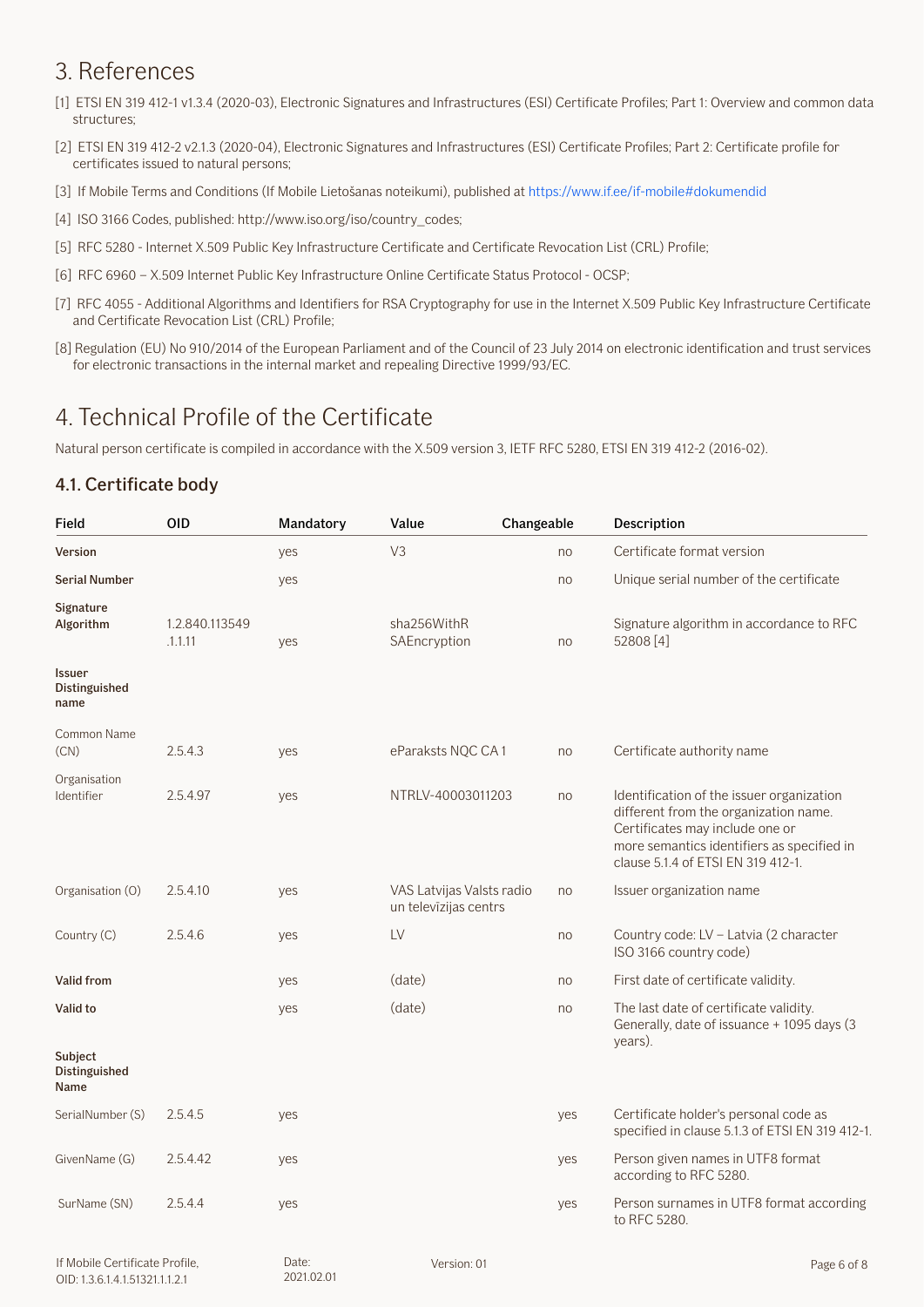## <span id="page-5-0"></span>3. References

- [1] ETSI EN 319 412-1 v1.3.4 (2020-03), Electronic Signatures and Infrastructures (ESI) Certificate Profiles; Part 1: Overview and common data structures;
- [2] ETSI EN 319 412-2 v2.1.3 (2020-04), Electronic Signatures and Infrastructures (ESI) Certificate Profiles; Part 2: Certificate profile for certificates issued to natural persons;
- [3] If Mobile Terms and Conditions (If Mobile Lietošanas noteikumi), published at https://www.if.ee/if-mobile#dokumendid
- [4] ISO 3166 Codes, published: http://www.iso.org/iso/country\_codes;
- [5] RFC 5280 Internet X.509 Public Key Infrastructure Certificate and Certificate Revocation List (CRL) Profile;
- [6] RFC 6960 X.509 Internet Public Key Infrastructure Online Certificate Status Protocol OCSP;
- [7] RFC 4055 Additional Algorithms and Identifiers for RSA Cryptography for use in the Internet X.509 Public Key Infrastructure Certificate and Certificate Revocation List (CRL) Profile;
- [8] Regulation (EU) No 910/2014 of the European Parliament and of the Council of 23 July 2014 on electronic identification and trust services for electronic transactions in the internal market and repealing Directive 1999/93/EC.

### 4. Technical Profile of the Certificate

Natural person certificate is compiled in accordance with the X.509 version 3, IETF RFC 5280, ETSI EN 319 412-2 (2016-02).

#### 4.1. Certificate body

| Field                            | <b>OID</b>                | Mandatory | Value                                              | Changeable | Description                                                                                                                                                                                               |
|----------------------------------|---------------------------|-----------|----------------------------------------------------|------------|-----------------------------------------------------------------------------------------------------------------------------------------------------------------------------------------------------------|
| Version                          |                           | yes       | V <sub>3</sub>                                     | no         | Certificate format version                                                                                                                                                                                |
| <b>Serial Number</b>             |                           | yes       |                                                    | no         | Unique serial number of the certificate                                                                                                                                                                   |
| Signature<br>Algorithm           | 1.2.840.113549<br>.1.1.11 | yes       | sha256WithR<br>SAEncryption                        | no         | Signature algorithm in accordance to RFC<br>52808 [4]                                                                                                                                                     |
| Issuer<br>Distinguished<br>name  |                           |           |                                                    |            |                                                                                                                                                                                                           |
| Common Name<br>(CN)              | 2.5.4.3                   | yes       | eParaksts NQC CA1                                  | no         | Certificate authority name                                                                                                                                                                                |
| Organisation<br>Identifier       | 2.5.4.97                  | yes       | NTRLV-40003011203                                  | no         | Identification of the issuer organization<br>different from the organization name.<br>Certificates may include one or<br>more semantics identifiers as specified in<br>clause 5.1.4 of ETSI EN 319 412-1. |
| Organisation (O)                 | 2.5.4.10                  | yes       | VAS Latvijas Valsts radio<br>un televīzijas centrs | no         | Issuer organization name                                                                                                                                                                                  |
| Country (C)                      | 2.5.4.6                   | yes       | LV                                                 | no         | Country code: LV - Latvia (2 character<br>ISO 3166 country code)                                                                                                                                          |
| Valid from                       |                           | yes       | (date)                                             | no         | First date of certificate validity.                                                                                                                                                                       |
| Valid to                         |                           | yes       | (date)                                             | no         | The last date of certificate validity.<br>Generally, date of issuance + 1095 days (3<br>years).                                                                                                           |
| Subject<br>Distinguished<br>Name |                           |           |                                                    |            |                                                                                                                                                                                                           |
| SerialNumber (S)                 | 2.5.4.5                   | yes       |                                                    | yes        | Certificate holder's personal code as<br>specified in clause 5.1.3 of ETSI EN 319 412-1.                                                                                                                  |
| GivenName (G)                    | 2.5.4.42                  | yes       |                                                    | yes        | Person given names in UTF8 format<br>according to RFC 5280.                                                                                                                                               |
| SurName (SN)                     | 2.5.4.4                   | yes       |                                                    | yes        | Person surnames in UTF8 format according<br>to RFC 5280.                                                                                                                                                  |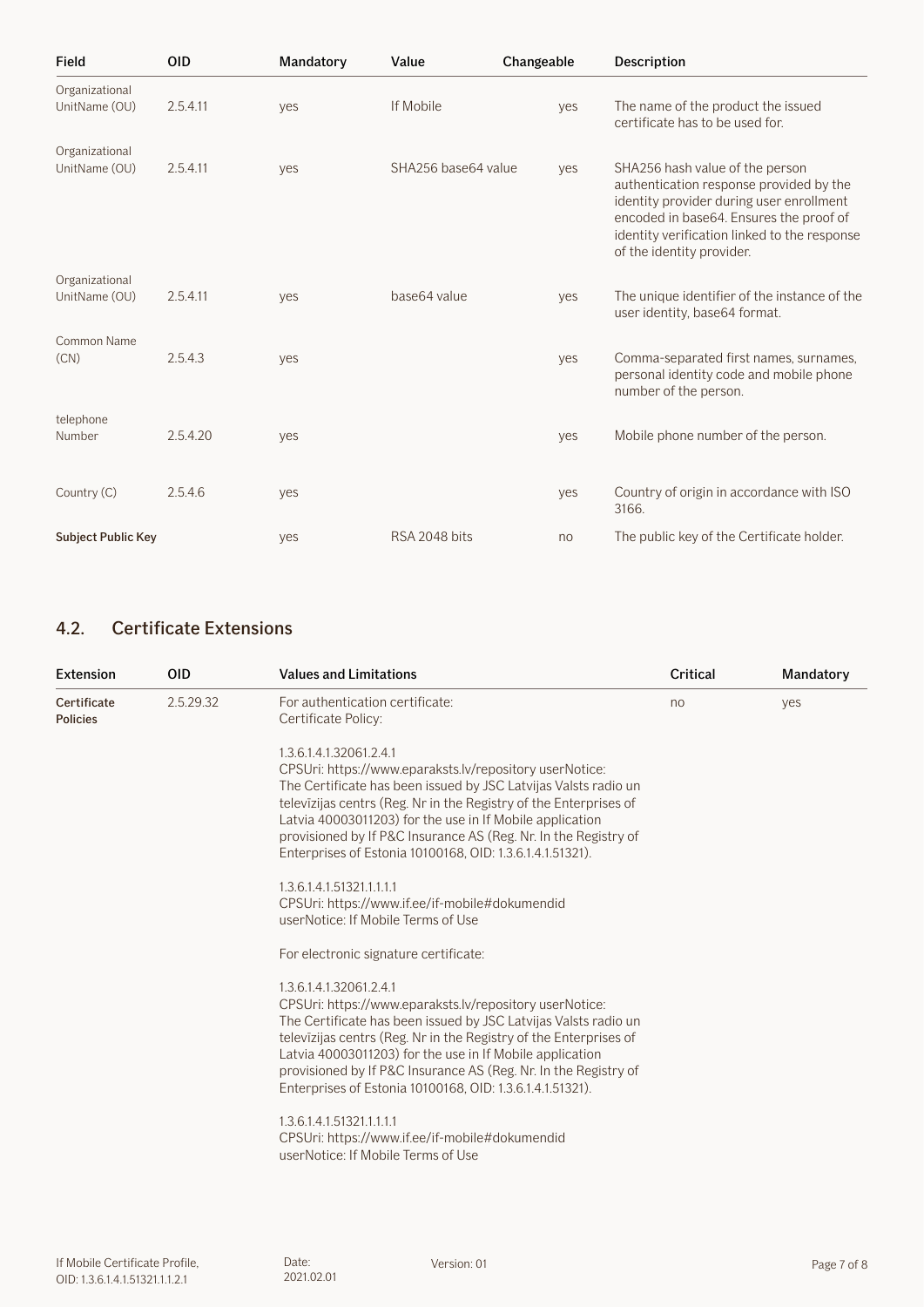<span id="page-6-0"></span>

| Field                           | <b>OID</b> | Mandatory | Value               | Changeable | Description                                                                                                                                                                                                                                    |
|---------------------------------|------------|-----------|---------------------|------------|------------------------------------------------------------------------------------------------------------------------------------------------------------------------------------------------------------------------------------------------|
| Organizational<br>UnitName (OU) | 2.5.4.11   | yes       | If Mobile           | yes        | The name of the product the issued<br>certificate has to be used for.                                                                                                                                                                          |
| Organizational<br>UnitName (OU) | 2.5.4.11   | yes       | SHA256 base64 value | yes        | SHA256 hash value of the person<br>authentication response provided by the<br>identity provider during user enrollment<br>encoded in base64. Ensures the proof of<br>identity verification linked to the response<br>of the identity provider. |
| Organizational<br>UnitName (OU) | 2.5.4.11   | ves       | base64 value        | yes        | The unique identifier of the instance of the<br>user identity, base64 format.                                                                                                                                                                  |
| Common Name<br>(CN)             | 2.5.4.3    | yes       |                     | yes        | Comma-separated first names, surnames,<br>personal identity code and mobile phone<br>number of the person.                                                                                                                                     |
| telephone<br>Number             | 2.5.4.20   | yes       |                     | yes        | Mobile phone number of the person.                                                                                                                                                                                                             |
| Country (C)                     | 2.5.4.6    | yes       |                     | yes        | Country of origin in accordance with ISO<br>3166.                                                                                                                                                                                              |
| <b>Subject Public Key</b>       |            | yes       | RSA 2048 bits       | no         | The public key of the Certificate holder.                                                                                                                                                                                                      |

### 4.2. Certificate Extensions

| Extension                      | <b>OID</b> | <b>Values and Limitations</b>                                                                                                                                                                                                                                                                                                                                                                                                                                                                                                               | Critical | Mandatory |
|--------------------------------|------------|---------------------------------------------------------------------------------------------------------------------------------------------------------------------------------------------------------------------------------------------------------------------------------------------------------------------------------------------------------------------------------------------------------------------------------------------------------------------------------------------------------------------------------------------|----------|-----------|
| Certificate<br><b>Policies</b> | 2.5.29.32  | For authentication certificate:<br>Certificate Policy:                                                                                                                                                                                                                                                                                                                                                                                                                                                                                      | no       | yes       |
|                                |            | 1.3.6.1.4.1.32061.2.4.1<br>CPSUri: https://www.eparaksts.lv/repository userNotice:<br>The Certificate has been issued by JSC Latvijas Valsts radio un<br>televizijas centrs (Reg. Nr in the Registry of the Enterprises of<br>Latvia 40003011203) for the use in If Mobile application<br>provisioned by If P&C Insurance AS (Reg. Nr. In the Registry of<br>Enterprises of Estonia 10100168, OID: 1.3.6.1.4.1.51321).<br>1.3.6.1.4.1.51321.1.1.1.1<br>CPSUri: https://www.if.ee/if-mobile#dokumendid<br>userNotice: If Mobile Terms of Use |          |           |
|                                |            | For electronic signature certificate:                                                                                                                                                                                                                                                                                                                                                                                                                                                                                                       |          |           |
|                                |            | 1.3.6.1.4.1.32061.2.4.1<br>CPSUri: https://www.eparaksts.lv/repository userNotice:<br>The Certificate has been issued by JSC Latvijas Valsts radio un<br>televizijas centrs (Reg. Nr in the Registry of the Enterprises of<br>Latvia 40003011203) for the use in If Mobile application<br>provisioned by If P&C Insurance AS (Reg. Nr. In the Registry of<br>Enterprises of Estonia 10100168, OID: 1.3.6.1.4.1.51321).                                                                                                                      |          |           |
|                                |            | 1.3.6.1.4.1.51321.1.1.1.1<br>CPSUri: https://www.if.ee/if-mobile#dokumendid<br>userNotice: If Mobile Terms of Use                                                                                                                                                                                                                                                                                                                                                                                                                           |          |           |